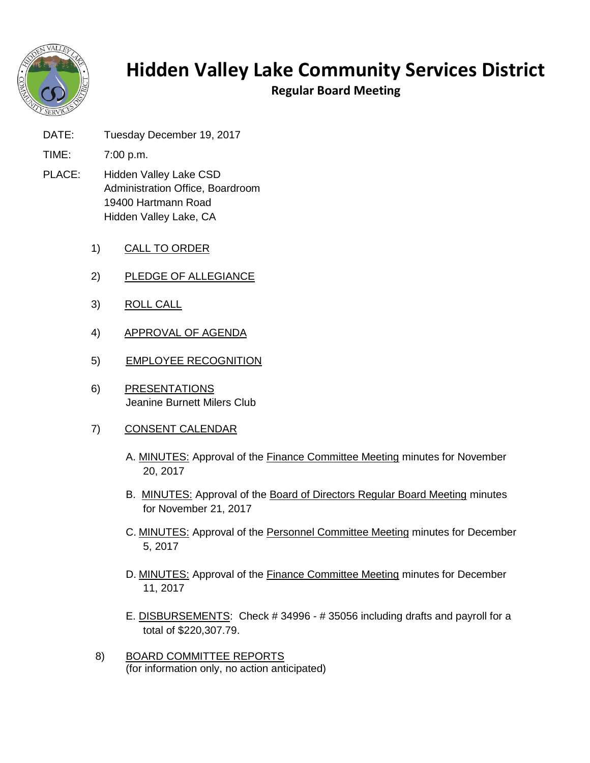

## **Hidden Valley Lake Community Services District**

**Regular Board Meeting**

- DATE: Tuesday December 19, 2017
- TIME: 7:00 p.m.
- PLACE: Hidden Valley Lake CSD Administration Office, Boardroom 19400 Hartmann Road Hidden Valley Lake, CA
	- 1) CALL TO ORDER
	- 2) PLEDGE OF ALLEGIANCE
	- 3) ROLL CALL
	- 4) APPROVAL OF AGENDA
	- 5) EMPLOYEE RECOGNITION
	- 6) PRESENTATIONS Jeanine Burnett Milers Club
	- 7) CONSENT CALENDAR
		- A. MINUTES: Approval of the Finance Committee Meeting minutes for November 20, 2017
		- B. MINUTES: Approval of the Board of Directors Regular Board Meeting minutes for November 21, 2017
		- C. MINUTES: Approval of the Personnel Committee Meeting minutes for December 5, 2017
		- D. MINUTES: Approval of the Finance Committee Meeting minutes for December 11, 2017
		- E. DISBURSEMENTS: Check # 34996 # 35056 including drafts and payroll for a total of \$220,307.79.
	- 8) BOARD COMMITTEE REPORTS (for information only, no action anticipated)